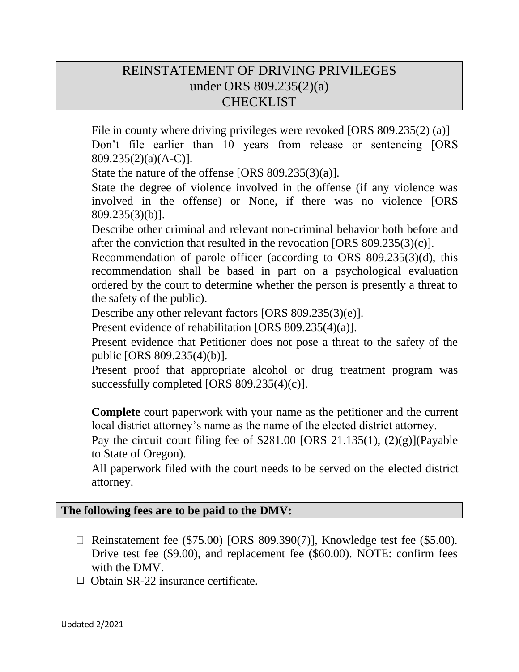## REINSTATEMENT OF DRIVING PRIVILEGES under ORS 809.235(2)(a) CHECKLIST

File in county where driving privileges were revoked [ORS 809.235(2) (a)] Don't file earlier than 10 years from release or sentencing [ORS 809.235(2)(a)(A-C)].

State the nature of the offense [ORS 809.235(3)(a)].

State the degree of violence involved in the offense (if any violence was involved in the offense) or None, if there was no violence [ORS 809.235(3)(b)].

Describe other criminal and relevant non-criminal behavior both before and after the conviction that resulted in the revocation [ORS 809.235(3)(c)].

Recommendation of parole officer (according to ORS 809.235(3)(d), this recommendation shall be based in part on a psychological evaluation ordered by the court to determine whether the person is presently a threat to the safety of the public).

Describe any other relevant factors [ORS 809.235(3)(e)].

Present evidence of rehabilitation [ORS 809.235(4)(a)].

Present evidence that Petitioner does not pose a threat to the safety of the public [ORS 809.235(4)(b)].

Present proof that appropriate alcohol or drug treatment program was successfully completed [ORS 809.235(4)(c)].

**Complete** court paperwork with your name as the petitioner and the current local district attorney's name as the name of the elected district attorney.

Pay the circuit court filing fee of  $$281.00$  [ORS 21.135(1), (2)(g)](Payable to State of Oregon).

All paperwork filed with the court needs to be served on the elected district attorney.

## **The following fees are to be paid to the DMV:**

- $\Box$  Reinstatement fee (\$75.00) [ORS 809.390(7)], Knowledge test fee (\$5.00). Drive test fee (\$9.00), and replacement fee (\$60.00). NOTE: confirm fees with the DMV.
- $\Box$  Obtain SR-22 insurance certificate.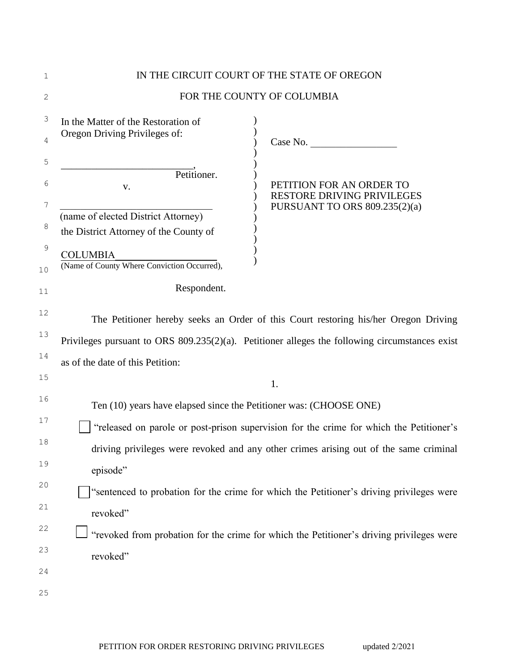| 1                 | IN THE CIRCUIT COURT OF THE STATE OF OREGON                                                    |                                                                                          |  |  |  |
|-------------------|------------------------------------------------------------------------------------------------|------------------------------------------------------------------------------------------|--|--|--|
| 2                 | FOR THE COUNTY OF COLUMBIA                                                                     |                                                                                          |  |  |  |
| 3                 | In the Matter of the Restoration of                                                            |                                                                                          |  |  |  |
| 4                 | Oregon Driving Privileges of:                                                                  | Case No.                                                                                 |  |  |  |
| 5                 |                                                                                                |                                                                                          |  |  |  |
| 6                 | Petitioner.<br>${\bf V}$ .                                                                     | PETITION FOR AN ORDER TO<br><b>RESTORE DRIVING PRIVILEGES</b>                            |  |  |  |
| 7                 | (name of elected District Attorney)                                                            | PURSUANT TO ORS 809.235(2)(a)                                                            |  |  |  |
| 8                 | the District Attorney of the County of                                                         |                                                                                          |  |  |  |
| $\mathsf 9$<br>10 | <b>COLUMBIA</b><br>(Name of County Where Conviction Occurred),                                 |                                                                                          |  |  |  |
| 11                | Respondent.                                                                                    |                                                                                          |  |  |  |
| 12                | The Petitioner hereby seeks an Order of this Court restoring his/her Oregon Driving            |                                                                                          |  |  |  |
| 13                | Privileges pursuant to ORS 809.235(2)(a). Petitioner alleges the following circumstances exist |                                                                                          |  |  |  |
| 14                | as of the date of this Petition:                                                               |                                                                                          |  |  |  |
| 15                |                                                                                                | 1.                                                                                       |  |  |  |
| 16                | Ten (10) years have elapsed since the Petitioner was: (CHOOSE ONE)                             |                                                                                          |  |  |  |
| 17                |                                                                                                | "released on parole or post-prison supervision for the crime for which the Petitioner's  |  |  |  |
| 18                | driving privileges were revoked and any other crimes arising out of the same criminal          |                                                                                          |  |  |  |
| 19                | episode"                                                                                       |                                                                                          |  |  |  |
| 20                | "sentenced to probation for the crime for which the Petitioner's driving privileges were       |                                                                                          |  |  |  |
| 21                | revoked"                                                                                       |                                                                                          |  |  |  |
| 22                |                                                                                                | "revoked from probation for the crime for which the Petitioner's driving privileges were |  |  |  |
| 23                | revoked"                                                                                       |                                                                                          |  |  |  |
| 24                |                                                                                                |                                                                                          |  |  |  |
| $25$              |                                                                                                |                                                                                          |  |  |  |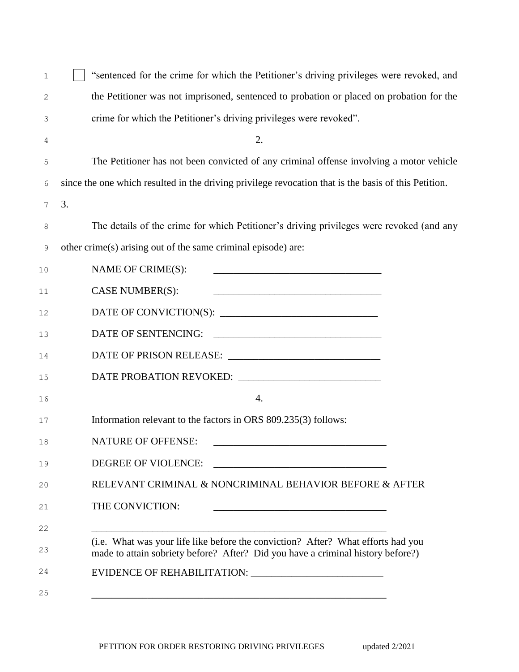| 1  | "sentenced for the crime for which the Petitioner's driving privileges were revoked, and                                                                                                                                                                    |  |  |
|----|-------------------------------------------------------------------------------------------------------------------------------------------------------------------------------------------------------------------------------------------------------------|--|--|
| 2  | the Petitioner was not imprisoned, sentenced to probation or placed on probation for the                                                                                                                                                                    |  |  |
| 3  | crime for which the Petitioner's driving privileges were revoked".                                                                                                                                                                                          |  |  |
| 4  | 2.                                                                                                                                                                                                                                                          |  |  |
| 5  | The Petitioner has not been convicted of any criminal offense involving a motor vehicle                                                                                                                                                                     |  |  |
| 6  | since the one which resulted in the driving privilege revocation that is the basis of this Petition.                                                                                                                                                        |  |  |
| 7  | 3.                                                                                                                                                                                                                                                          |  |  |
| 8  | The details of the crime for which Petitioner's driving privileges were revoked (and any                                                                                                                                                                    |  |  |
| 9  | other crime(s) arising out of the same criminal episode) are:                                                                                                                                                                                               |  |  |
| 10 | NAME OF CRIME(S):                                                                                                                                                                                                                                           |  |  |
| 11 | CASE NUMBER(S):                                                                                                                                                                                                                                             |  |  |
| 12 |                                                                                                                                                                                                                                                             |  |  |
| 13 | DATE OF SENTENCING:<br><u> 1989 - Jan Barbara Barat, margaret eta idazlea (h. 1989).</u>                                                                                                                                                                    |  |  |
| 14 |                                                                                                                                                                                                                                                             |  |  |
| 15 |                                                                                                                                                                                                                                                             |  |  |
| 16 | $\overline{4}$ .                                                                                                                                                                                                                                            |  |  |
| 17 | Information relevant to the factors in ORS 809.235(3) follows:                                                                                                                                                                                              |  |  |
| 18 | <b>NATURE OF OFFENSE:</b>                                                                                                                                                                                                                                   |  |  |
| 19 | DEGREE OF VIOLENCE:<br><u>and the state of the state of the state of the state of the state of the state of the state of the state of the state of the state of the state of the state of the state of the state of the state of the state of the state</u> |  |  |
| 20 | RELEVANT CRIMINAL & NONCRIMINAL BEHAVIOR BEFORE & AFTER                                                                                                                                                                                                     |  |  |
| 21 | THE CONVICTION:<br><u> 1989 - Johann Barbara, martxa al III-lea (h. 1989).</u>                                                                                                                                                                              |  |  |
| 22 |                                                                                                                                                                                                                                                             |  |  |
| 23 | (i.e. What was your life like before the conviction? After? What efforts had you<br>made to attain sobriety before? After? Did you have a criminal history before?)                                                                                         |  |  |
| 24 |                                                                                                                                                                                                                                                             |  |  |
| 25 |                                                                                                                                                                                                                                                             |  |  |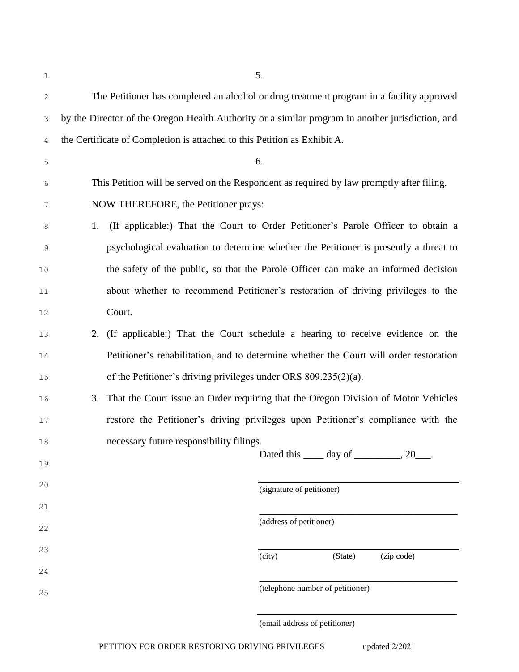| 1          |                                                                                                  | 5.                                                                                     |                                     |            |
|------------|--------------------------------------------------------------------------------------------------|----------------------------------------------------------------------------------------|-------------------------------------|------------|
| $\sqrt{2}$ | The Petitioner has completed an alcohol or drug treatment program in a facility approved         |                                                                                        |                                     |            |
| 3          | by the Director of the Oregon Health Authority or a similar program in another jurisdiction, and |                                                                                        |                                     |            |
| 4          |                                                                                                  | the Certificate of Completion is attached to this Petition as Exhibit A.               |                                     |            |
| 5          |                                                                                                  | 6.                                                                                     |                                     |            |
| 6          | This Petition will be served on the Respondent as required by law promptly after filing.         |                                                                                        |                                     |            |
| 7          | NOW THEREFORE, the Petitioner prays:                                                             |                                                                                        |                                     |            |
| 8          | 1.                                                                                               | (If applicable:) That the Court to Order Petitioner's Parole Officer to obtain a       |                                     |            |
| 9          |                                                                                                  | psychological evaluation to determine whether the Petitioner is presently a threat to  |                                     |            |
| 10         |                                                                                                  | the safety of the public, so that the Parole Officer can make an informed decision     |                                     |            |
| 11         |                                                                                                  | about whether to recommend Petitioner's restoration of driving privileges to the       |                                     |            |
| 12         |                                                                                                  | Court.                                                                                 |                                     |            |
| 13         |                                                                                                  | 2. (If applicable:) That the Court schedule a hearing to receive evidence on the       |                                     |            |
| 14         |                                                                                                  | Petitioner's rehabilitation, and to determine whether the Court will order restoration |                                     |            |
| 15         |                                                                                                  | of the Petitioner's driving privileges under ORS 809.235(2)(a).                        |                                     |            |
| 16         | 3.                                                                                               | That the Court issue an Order requiring that the Oregon Division of Motor Vehicles     |                                     |            |
| 17         |                                                                                                  | restore the Petitioner's driving privileges upon Petitioner's compliance with the      |                                     |            |
| 18         |                                                                                                  | necessary future responsibility filings.                                               | Dated this ______ day of __________ | , 20       |
| 19         |                                                                                                  |                                                                                        |                                     |            |
| 20         |                                                                                                  |                                                                                        | (signature of petitioner)           |            |
| 21         |                                                                                                  |                                                                                        | (address of petitioner)             |            |
| 22         |                                                                                                  |                                                                                        |                                     |            |
| 23         |                                                                                                  |                                                                                        | (city)<br>(State)                   | (zip code) |
| 24         |                                                                                                  |                                                                                        |                                     |            |
| 25         |                                                                                                  |                                                                                        | (telephone number of petitioner)    |            |

(email address of petitioner)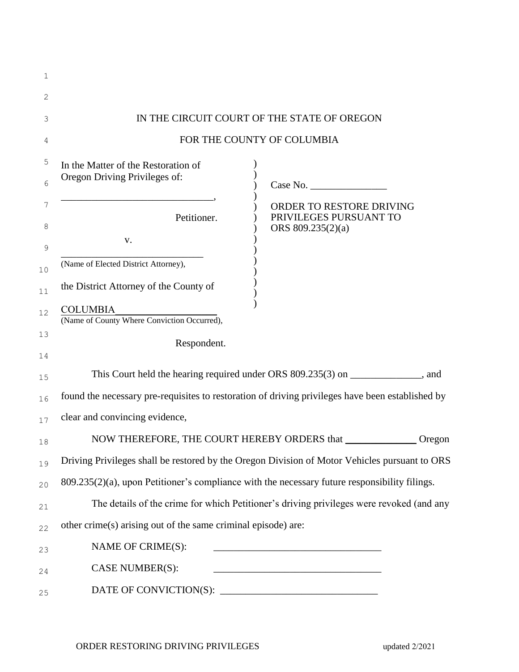| 1      |                                                                |                                                                                                  |  |  |  |  |
|--------|----------------------------------------------------------------|--------------------------------------------------------------------------------------------------|--|--|--|--|
| 2      |                                                                |                                                                                                  |  |  |  |  |
| 3      | IN THE CIRCUIT COURT OF THE STATE OF OREGON                    |                                                                                                  |  |  |  |  |
| 4      | FOR THE COUNTY OF COLUMBIA                                     |                                                                                                  |  |  |  |  |
| 5      | In the Matter of the Restoration of                            |                                                                                                  |  |  |  |  |
| 6      | Oregon Driving Privileges of:                                  |                                                                                                  |  |  |  |  |
| 7<br>8 | Petitioner.<br>V.                                              | ORDER TO RESTORE DRIVING<br>PRIVILEGES PURSUANT TO<br>ORS 809.235(2)(a)                          |  |  |  |  |
| 9      |                                                                |                                                                                                  |  |  |  |  |
| 10     | (Name of Elected District Attorney),                           |                                                                                                  |  |  |  |  |
| 11     | the District Attorney of the County of                         |                                                                                                  |  |  |  |  |
| 12     | <b>COLUMBIA</b><br>(Name of County Where Conviction Occurred), |                                                                                                  |  |  |  |  |
| 13     | Respondent.                                                    |                                                                                                  |  |  |  |  |
| 14     |                                                                |                                                                                                  |  |  |  |  |
| 15     |                                                                | This Court held the hearing required under ORS 809.235(3) on _____________, and                  |  |  |  |  |
| 16     |                                                                | found the necessary pre-requisites to restoration of driving privileges have been established by |  |  |  |  |
| 17     | clear and convincing evidence,                                 |                                                                                                  |  |  |  |  |
| 18     |                                                                | NOW THEREFORE, THE COURT HEREBY ORDERS that _________________ Oregon                             |  |  |  |  |
| 19     |                                                                | Driving Privileges shall be restored by the Oregon Division of Motor Vehicles pursuant to ORS    |  |  |  |  |
| 20     |                                                                | 809.235(2)(a), upon Petitioner's compliance with the necessary future responsibility filings.    |  |  |  |  |
| 21     |                                                                | The details of the crime for which Petitioner's driving privileges were revoked (and any         |  |  |  |  |
| 22     | other crime(s) arising out of the same criminal episode) are:  |                                                                                                  |  |  |  |  |
| 23     | NAME OF CRIME(S):                                              |                                                                                                  |  |  |  |  |
| 24     | CASE NUMBER(S):                                                |                                                                                                  |  |  |  |  |